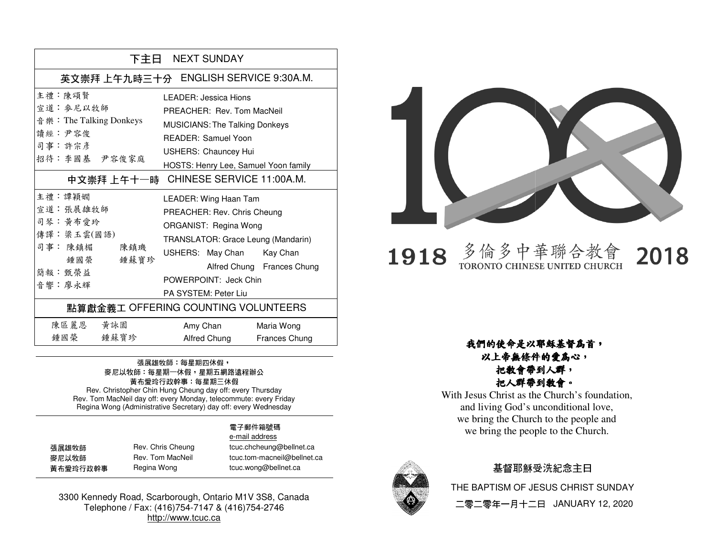| 下主日 NEXT SUNDAY                                                                                 |                                                                                                                                                                                                                                                                        |  |
|-------------------------------------------------------------------------------------------------|------------------------------------------------------------------------------------------------------------------------------------------------------------------------------------------------------------------------------------------------------------------------|--|
| 英文崇拜 上午九時三十分 ENGLISH SERVICE 9:30A.M.                                                           |                                                                                                                                                                                                                                                                        |  |
| 主 , 陳頌賢<br>宣道 · 麥尼以牧師<br>音 樂: The Talking Donkeys<br>讀經:尹容俊<br>司事:許宗彥<br>招待:李國基 尹容俊家庭           | I FADER: Jessica Hions<br>PREACHER: Rev. Tom MacNeil<br><b>MUSICIANS: The Talking Donkeys</b><br><b>READER: Samuel Yoon</b><br><b>USHERS: Chauncey Hui</b><br>HOSTS: Henry Lee, Samuel Yoon family<br>中文崇拜上午十一時 CHINESE SERVICE 11:00A.M.                              |  |
| 主禮 : 譚穎嫺<br>宣道: 張展雄牧師<br>司琴:黃布愛玲<br>傳譯:梁玉雲(國語)<br>司事:陳鎮楣 陳鎮璣<br>鍾國榮 鍾蘇寶珍<br>簡報: 甄榮益<br>音響 · 廖永輝 | LEADER: Wing Haan Tam<br>PREACHER: Rev. Chris Cheung<br>ORGANIST: Regina Wong<br>TRANSLATOR: Grace Leung (Mandarin)<br>USHERS: May Chan Kay Chan<br>Alfred Chung Frances Chung<br>POWERPOINT: Jeck Chin<br>PA SYSTEM: Peter Liu<br>點算獻金義工 OFFERING COUNTING VOLUNTEERS |  |
| 陳區麗恩 黃詠園<br>鍾國榮 鍾蘇寶珍                                                                            | Amy Chan<br>Maria Wong<br>Alfred Chung<br><b>Frances Chung</b>                                                                                                                                                                                                         |  |

#### 張展雄牧師: 每星期四休假, 麥尼以牧師:每星期一休假,星期五網路遠程辦公 黃布愛玲行政幹事:每星期三休假

Rev. Christopher Chin Hung Cheung day off: every Thursday Rev. Tom MacNeil day off: every Monday, telecommute: every Friday Regina Wong (Administrative Secretary) day off: every WednesdayRev. Christopher Chin Hung Cheung day off: every Thursday<br>Rev. Tom MacNeil day off: every Monday, telecommute: every Fr<br>Regina Wong (Administrative Secretary) day off: every Wedneso

#### 電子郵件箱號碼電子郵件箱號碼

| 張展雄牧師    | Rev. Chris Cheung | tcuc.chcheung@bellnet.ca    |
|----------|-------------------|-----------------------------|
| 麥尼以牧師    | Rev. Tom MacNeil  | tcuc.tom-macneil@bellnet.ca |
| 黃布愛玲行政幹事 | Regina Wong       | tcuc.wong@bellnet.ca        |

 e-mail addressmail tcuc.wong@bellnet.ca

3300 Kennedy Road, Scarborough, Ontario M1V 3S8, Canada Telephone / Fax: (416)754-7147 & (416)754-2746http://www.tcuc.ca



多倫多中華聯合教會<br>TORONTO CHINESE UNITED CHURCH 2018 1918

### 以上帝無條件的愛為心, 把教會帶到人群,把人群帶到教會。

M1V Canada 2746我們的使命是以耶穌基督為首, With Jesus Christ as the Church's foundation, and living God's unconditional love, we bring the Church to the people and we bring the people to the Church.



#### 基督耶穌受洗紀念主日

THE BAPTISM OF JESUS CHRIST SUNDAY二零二零年一月十二日 JANUARY 12, 2020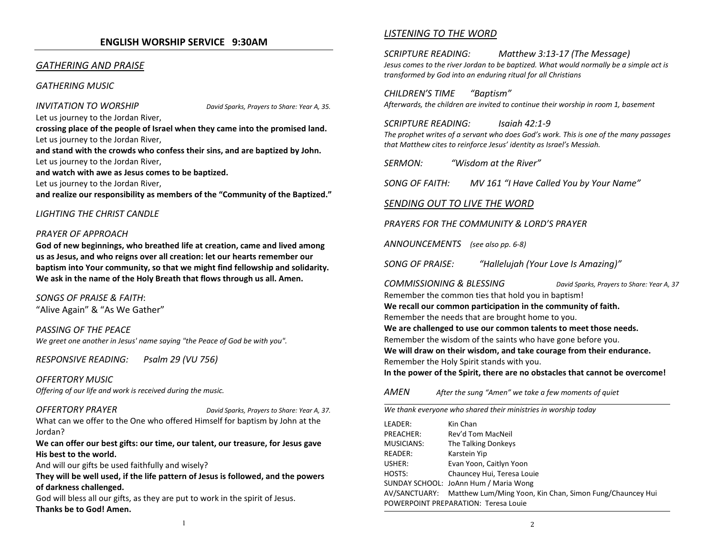#### ENGLISH WORSHIP SERVICE 9:30AM

#### GATHERING AND PRAISE

#### GATHERING MUSIC

#### INVITATION TO WORSHIP David Sparks, Prayers to Share: Year A, 35.

Let us journey to the Jordan River,

crossing place of the people of Israel when they came into the promised land.Let us journey to the Jordan River,

and stand with the crowds who confess their sins, and are baptized by John.Let us journey to the Jordan River,

and watch with awe as Jesus comes to be baptized.

Let us journey to the Jordan River,

and realize our responsibility as members of the "Community of the Baptized."

#### LIGHTING THE CHRIST CANDLE

#### PRAYER OF APPROACH

God of new beginnings, who breathed life at creation, came and lived among us as Jesus, and who reigns over all creation: let our hearts remember our baptism into Your community, so that we might find fellowship and solidarity. We ask in the name of the Holy Breath that flows through us all. Amen.

SONGS OF PRAISE & FAITH:"Alive Again" & "As We Gather"

PASSING OF THE PEACE We greet one another in Jesus' name saying "the Peace of God be with you".

RESPONSIVE READING: Psalm 29 (VU 756)

OFFERTORY MUSICOffering of our life and work is received during the music.

OFFERTORY PRAYER David Sparks, Prayers to Share: Year A, 37.

What can we offer to the One who offered Himself for baptism by John at the Jordan?

We can offer our best gifts: our time, our talent, our treasure, for Jesus gave His best to the world.

And will our gifts be used faithfully and wisely?

They will be well used, if the life pattern of Jesus is followed, and the powers of darkness challenged.

God will bless all our gifts, as they are put to work in the spirit of Jesus. Thanks be to God! Amen.

#### LISTENING TO THE WORD

SCRIPTURE READING: Matthew 3:13-17 (The Message) Jesus comes to the river Jordan to be baptized. What would normally be a simple act is transformed by God into an enduring ritual for all Christians

CHILDREN'S TIME "Baptism"Afterwards, the children are invited to continue their worship in room 1, basement

SCRIPTURE READING: Isaiah 42:1-9 The prophet writes of a servant who does God's work. This is one of the many passages that Matthew cites to reinforce Jesus' identity as Israel's Messiah.

SERMON: "Wisdom at the River"

SONG OF FAITH: MV 161 "I Have Called You by Your Name"

#### SENDING OUT TO LIVE THE WORD

PRAYERS FOR THE COMMUNITY & LORD'S PRAYER

ANNOUNCEMENTS (see also pp. 6-8)

SONG OF PRAISE: "Hallelujah (Your Love Is Amazing)"

COMMISSIONING & BLESSING David Sparks, Prayers to Share: Year A, 37 Remember the common ties that hold you in baptism! We recall our common participation in the community of faith.Remember the needs that are brought home to you. We are challenged to use our common talents to meet those needs.Remember the wisdom of the saints who have gone before you. We will draw on their wisdom, and take courage from their endurance.Remember the Holy Spirit stands with you. In the power of the Spirit, there are no obstacles that cannot be overcome!

AMENAfter the sung "Amen" we take a few moments of quiet

We thank everyone who shared their ministries in worship today

| LEADER:                              | Kin Chan                                                               |  |
|--------------------------------------|------------------------------------------------------------------------|--|
| PREACHER:                            | Rev'd Tom MacNeil                                                      |  |
| <b>MUSICIANS:</b>                    | The Talking Donkeys                                                    |  |
| READER:                              | Karstein Yip                                                           |  |
| USHER:                               | Evan Yoon, Caitlyn Yoon                                                |  |
| HOSTS:                               | Chauncey Hui, Teresa Louie                                             |  |
|                                      | SUNDAY SCHOOL: JoAnn Hum / Maria Wong                                  |  |
|                                      | AV/SANCTUARY: Matthew Lum/Ming Yoon, Kin Chan, Simon Fung/Chauncey Hui |  |
| POWERPOINT PREPARATION: Teresa Louie |                                                                        |  |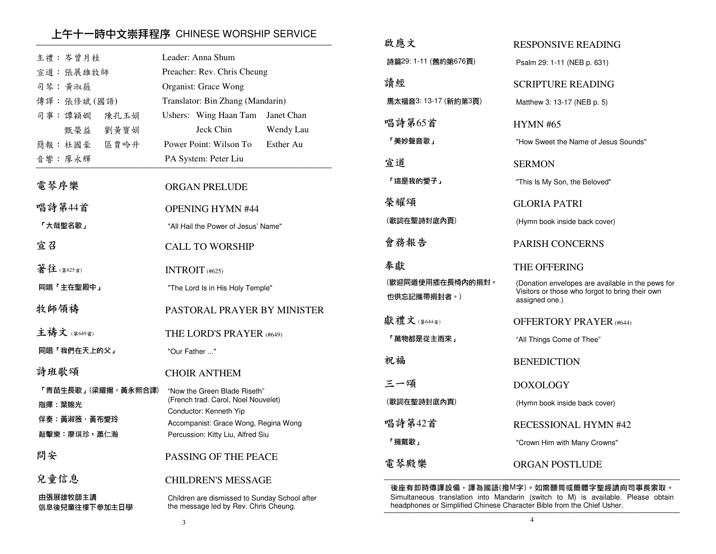### 上午十一時中文崇拜程序 CHINESE WORSHIP SERVICE ─────────────────────────────────────────────────────────────────────────────

| 主禮:岑曾月桂                   | Leader: Anna Shum                                                                      |
|---------------------------|----------------------------------------------------------------------------------------|
| 宣道:張展雄牧師                  | Preacher: Rev. Chris Cheung                                                            |
| 司琴:黄淑薇                    | Organist: Grace Wong                                                                   |
| 傳譯:張修斌(國語)                | Translator: Bin Zhang (Mandarin)                                                       |
| 司事:譚穎嫺<br>陳孔玉娟            | Ushers: Wing Haan Tam<br>Janet Chan                                                    |
| 甄榮益<br>劉黃寶娟               | Jeck Chin<br>Wendy Lau                                                                 |
| 簡報:杜國豪 區賈吟升               | Power Point: Wilson To<br>Esther Au                                                    |
| 音響:廖永輝                    | PA System: Peter Liu                                                                   |
| 電琴序樂                      | <b>ORGAN PRELUDE</b>                                                                   |
| 唱詩第44首                    | <b>OPENING HYMN #44</b>                                                                |
| 「大哉聖名歌」                   | "All Hail the Power of Jesus' Name"                                                    |
| 宣召                        | CALL TO WORSHIP                                                                        |
| 著往(第625首)                 | INTROIT $(#625)$                                                                       |
| 同唱「主在聖殿中」                 | "The Lord Is in His Holy Temple"                                                       |
| 牧師領禱                      | PASTORAL PRAYER BY MINISTER                                                            |
| 主禱文 (第649首)               | THE LORD'S PRAYER (#649)                                                               |
| 同唱「我們在天上的父」               | "Our Father "                                                                          |
| 詩班歌頌                      | <b>CHOIR ANTHEM</b>                                                                    |
| 「青苗生長歌」(梁耀揚,黃永熙合譯)        | "Now the Green Blade Riseth"<br>(French trad. Carol, Noel Nouvelet)                    |
| 指揮 葉賜光                    | Conductor: Kenneth Yip                                                                 |
| 伴奏 黃淑薇,黃布愛玲               | Accompanist: Grace Wong, Regina Wong                                                   |
| 敲擊樂:廖琪珍,蕭仁瀚               | Percussion: Kitty Liu, Alfred Siu                                                      |
| 問安                        | PASSING OF THE PEACE                                                                   |
| 兒童信息                      | <b>CHILDREN'S MESSAGE</b>                                                              |
| 由張展雄牧師主講<br>信息後兒童往樓下參加主日學 | Children are dismissed to Sunday School after<br>the message led by Rev. Chris Cheung. |
|                           |                                                                                        |

| 啟應文                             | <b>RESPONSIVE READING</b>                                                                                              |
|---------------------------------|------------------------------------------------------------------------------------------------------------------------|
| 詩篇29:1-11 (舊約第676頁)             | Psalm 29: 1-11 (NEB p. 631)                                                                                            |
| 請經                              | <b>SCRIPTURE READING</b>                                                                                               |
| 馬太福音3:13-17 (新約第3頁)             | Matthew 3: 13-17 (NEB p. 5)                                                                                            |
| 唱詩第65首                          | <b>HYMN #65</b>                                                                                                        |
| 「美妙聲音歌」                         | "How Sweet the Name of Jesus Sounds"                                                                                   |
| 宣道                              | <b>SERMON</b>                                                                                                          |
| 「這是我的愛子」                        | "This Is My Son, the Beloved"                                                                                          |
| 榮耀頌                             | <b>GLORIA PATRI</b>                                                                                                    |
| (歌詞在聖詩封底內頁)                     | (Hymn book inside back cover)                                                                                          |
| 會務報告                            | <b>PARISH CONCERNS</b>                                                                                                 |
|                                 |                                                                                                                        |
| 奉獻                              | THE OFFERING                                                                                                           |
| (歡迎同道使用插在長椅內的捐封,<br>也供忘記攜帶捐封者。) | (Donation envelopes are available in the pews for<br>Visitors or those who forgot to bring their own<br>assigned one.) |
| 獻禮文(第644首)                      | <b>OFFERTORY PRAYER</b> (#644)                                                                                         |
| 「萬物都是從主而來」                      | "All Things Come of Thee"                                                                                              |
| 祝福                              | <b>BENEDICTION</b>                                                                                                     |
| 三一頌                             | DOXOLOGY                                                                                                               |
| (歌詞在聖詩封底內頁)                     | (Hymn book inside back cover)                                                                                          |
| 唱詩第42首                          | <b>RECESSIONAL HYMN #42</b>                                                                                            |
| 「擁戴歌」                           | "Crown Him with Many Crowns"                                                                                           |

後座有即時傳譯設備,譯為國語(撥M字)。如需聽筒或簡體字聖經請向司事長索取。 Simultaneous translation into Mandarin (switch to M) is available. Please obtain headphones or Simplified Chinese Character Bible from the Chief Usher.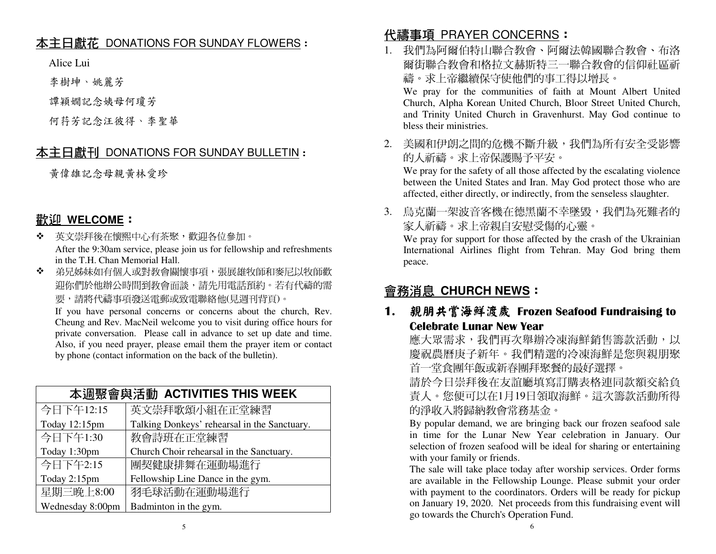### <u>本主日獻花 DONATIONS FOR SUNDAY FLOWERS</u> :<br>.

Alice Lui

李樹坤、姚麗芳

譚穎嫺記念姨母何瓊芳

何荇芳記念汪彼得、李聖華

# <u>本主日獻刊 DONATIONS FOR SUNDAY BULLETIN</u> :<br>.

黃偉雄記念母親黃林愛珍

# 歡迎 **WELCOME**:

- ◆ 英文崇拜後在懷熙中心有茶聚,歡迎各位參加。<br>◆ ◆ → ○○○ After the 9:30am service, please join us for fellowship and refreshments in the T.H. Chan Memorial Hall.
- ◆ 弟兄姊妹如有個人或對教會關懷事項,張展雄牧師和麥尼以牧師歡  $\mathbf{r}^{\prime}$  迎你們於他辦公時間到教會面談,請先用電話預約。若有代禱的需要,請將代禱事項發送電郵或致電聯絡他(見週刊背頁)。

 If you have personal concerns or concerns about the church, Rev. Cheung and Rev. MacNeil welcome you to visit during office hours for private conversation. Please call in advance to set up date and time. Also, if you need prayer, please email them the prayer item or contact by phone (contact information on the back of the bulletin).

| 本调聚會與活動 ACTIVITIES THIS WEEK |                                              |  |
|------------------------------|----------------------------------------------|--|
| 今日下午12:15                    | 英文崇拜歌頌小組在正堂練習                                |  |
| Today 12:15pm                | Talking Donkeys' rehearsal in the Sanctuary. |  |
| 今日下午1:30                     | 教會詩班在正堂練習                                    |  |
| Today 1:30pm                 | Church Choir rehearsal in the Sanctuary.     |  |
| 今日下午2:15                     | 團契健康排舞在運動場進行                                 |  |
| Today 2:15pm                 | Fellowship Line Dance in the gym.            |  |
| 星期三晚上8:00                    | 羽毛球活動在運動場進行                                  |  |
| Wednesday 8:00pm             | Badminton in the gym.                        |  |

# <mark>代禱事項 PRAYER CONCERNS</mark>:<br>1 我們<sup>是阿爾伯特山聯合<del>夠</del>命、阿爾</sup>

1. 我們為阿爾伯特山聯合教會、阿爾法韓國聯合教會、布洛 爾街聯合教會和格拉文赫斯特三一聯合教會的信仰社區祈禱。求上帝繼續保守使他們的事工得以增長。

 We pray for the communities of faith at Mount Albert United Church, Alpha Korean United Church, Bloor Street United Church, and Trinity United Church in Gravenhurst. May God continue to bless their ministries.

2. 美國和伊朗之間的危機不斷升級,我們為所有安全受影響的人祈禱。求上帝保護賜予平安。

 We pray for the safety of all those affected by the escalating violence between the United States and Iran. May God protect those who are affected, either directly, or indirectly, from the senseless slaughter.

3. 烏克蘭一架波音客機在德黑蘭不幸墜毀,我們為死難者的家人祈禱。求上帝親自安慰受傷的心靈。

 We pray for support for those affected by the crash of the Ukrainian International Airlines flight from Tehran. May God bring them peace.

# 會務消息 **CHURCH NEWS**:

### 1. 親朋共嘗海鮮渡歲 Frozen Seafood Fundraising to<br>Celebrate Lunar New Year Celebrate Lunar New Year

應大眾需求,我們再次舉辦冷凍海鮮銷售籌款活動,以 慶祝農曆庚子新年。我們精選的冷凍海鮮是您與親朋聚首一堂食團年飯或新春團拜聚餐的最好選擇。

 請於今日崇拜後在友誼廳填寫訂購表格連同款額交給負 責人。您便可以在1月19日領取海鮮。這次籌款活動所得的淨收入將歸納教會常務基金。

 By popular demand, we are bringing back our frozen seafood sale in time for the Lunar New Year celebration in January. Our selection of frozen seafood will be ideal for sharing or entertaining with your family or friends.

 The sale will take place today after worship services. Order forms are available in the Fellowship Lounge. Please submit your order with payment to the coordinators. Orders will be ready for pickup on January 19, 2020. Net proceeds from this fundraising event will go towards the Church's Operation Fund.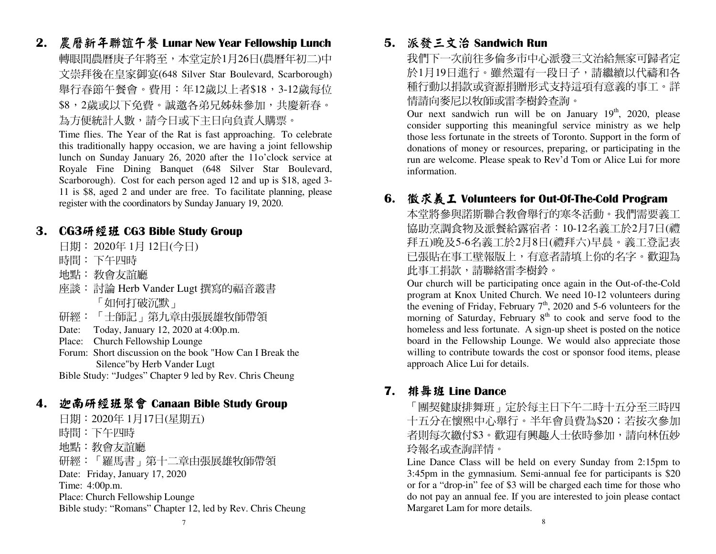2. 農曆新年聯誼午餐 Lunar New Year Fellowship Lunch 轉眼間農曆庚子年將至,本堂定於1月26日(農曆年初二)中 文崇拜後在皇家御宴(648 Silver Star Boulevard, Scarborough)舉行春節午餐會。費用:年12歲以上者\$18,3-12歲每位 \$8,2歲或以下免費。誠邀各弟兄姊妹參加,共慶新春。為方便統計人數,請今日或下主日向負責人購票。

 Time flies. The Year of the Rat is fast approaching. To celebrate this traditionally happy occasion, we are having a joint fellowship lunch on Sunday January 26, 2020 after the 11o'clock service at Royale Fine Dining Banquet (648 Silver Star Boulevard, Scarborough). Cost for each person aged 12 and up is \$18, aged 3- 11 is \$8, aged 2 and under are free. To facilitate planning, please register with the coordinators by Sunday January 19, 2020.

### 3. CG3研經班 CG3 Bible Study Group<br> 日租:2020年 1日 12月(会日)

- 日期: 2020年 1月 12日(今日)
- 時間:下午四時<br><sub>地型</sub>・ <del>数</del>盒左設
- 地點: 教會友誼廳<br><sub>応談</sub>・ <del>討論</del> Harb J
- 座談: 討論 Herb Vander Lugt 撰寫的福音叢書 「如何打破沉默」
- 研經: 「士師記」第九章由張展雄牧師帶領
- Date: Today, January 12, 2020 at 4:00p.m.
- Place: Church Fellowship Lounge
- Forum: Short discussion on the book "How Can I Break the Silence"by Herb Vander Lugt

Bible Study: "Judges" Chapter 9 led by Rev. Chris Cheung

### 4. 迦南研經班聚會 Canaan Bible Study Group<br>日期:2020年1日17日(夏期五)

日期:2020年 1月17日(星期五) 時間:下午四時 地點:教會友誼廳 研經:「羅馬書」第十二章由張展雄牧師帶領 Date: Friday, January 17, 2020 Time: 4:00p.m. Place: Church Fellowship Lounge Bible study: "Romans" Chapter 12, led by Rev. Chris Cheung

# 5. 派發三文治 Sandwich Run<br>玉們下一次前往多倫多市山心

我們下一次前往多倫多市中心派發三文治給無家可歸者定 於1月19日進行。雖然還有一段日子,請繼續以代禱和各 種行動以捐款或資源捐贈形式支持這項有意義的事工。詳情請向麥尼以牧師或雷李樹鈴查詢。

Our next sandwich run will be on January  $19<sup>th</sup>$ , 2020, please consider supporting this meaningful service ministry as we help those less fortunate in the streets of Toronto. Support in the form of donations of money or resources, preparing, or participating in the run are welcome. Please speak to Rev'd Tom or Alice Lui for more information.

# 6. 徵求義工 Volunteers for Out-Of-The-Cold Program<br>\*\*登悠參與諾斯聯合数命與行的塞久迁動。我們軍更美

本堂將參與諾斯聯合教會舉行的寒冬活動。我們需要義工 協助烹調食物及派餐給露宿者:10-12名義工於2月7日(禮 拜五)晚及5-6名義工於2月8日(禮拜六)早晨。義工登記表已張貼在事工壁報版上,有意者請填上你的名字。歡迎為 此事工捐款,請聯絡雷李樹鈴。

 Our church will be participating once again in the Out-of-the-Cold program at Knox United Church. We need 10-12 volunteers during the evening of Friday, February  $7<sup>th</sup>$ , 2020 and 5-6 volunteers for the morning of Saturday, February  $8<sup>th</sup>$  to cook and serve food to the homeless and less fortunate. A sign-up sheet is posted on the notice board in the Fellowship Lounge. We would also appreciate those willing to contribute towards the cost or sponsor food items, please approach Alice Lui for details.

# 7. 排舞班 Line Dance<br>「国洯健康排無研

「團契健康排舞班」定於每主日下午二時十五分至三時四 十五分在懷熙中心舉行。半年會員費為\$20;若按次參加者則每次繳付\$3。歡迎有興趣人士依時參加,請向林伍妙 玲報名或查詢詳情。

 Line Dance Class will be held on every Sunday from 2:15pm to 3:45pm in the gymnasium. Semi-annual fee for participants is \$20 or for a "drop-in" fee of \$3 will be charged each time for those who do not pay an annual fee. If you are interested to join please contact Margaret Lam for more details.